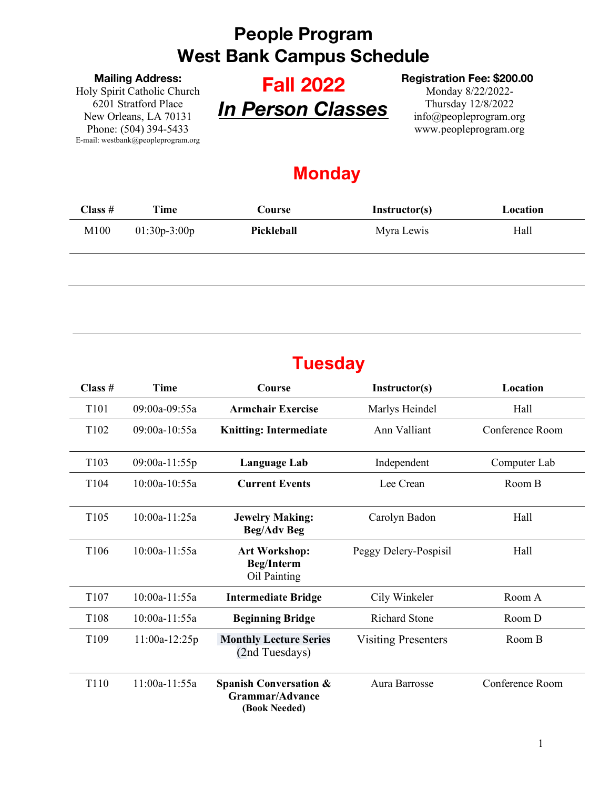#### **Mailing Address:**

Holy Spirit Catholic Church 6201 Stratford Place New Orleans, LA 70131 Phone: (504) 394-5433 E-mail: westbank@peopleprogram.org

# **Fall 2022** *In Person Classes*

#### **Registration Fee: \$200.00**

Monday 8/22/2022- Thursday 12/8/2022 info@peopleprogram.org www.peopleprogram.org

### **Monday**

| Class # | <b>Time</b>    | Course     | Instructor(s) | Location |
|---------|----------------|------------|---------------|----------|
| M100    | $01:30p-3:00p$ | Pickleball | Myra Lewis    | Hall     |
|         |                |            |               |          |

### **Tuesday**

| Class $#$        | <b>Time</b>     | Course                                                                | Instructor(s)              | Location        |
|------------------|-----------------|-----------------------------------------------------------------------|----------------------------|-----------------|
| T <sub>101</sub> | 09:00a-09:55a   | <b>Armchair Exercise</b>                                              | Marlys Heindel             | Hall            |
| T102             | 09:00a-10:55a   | <b>Knitting: Intermediate</b>                                         | Ann Valliant               | Conference Room |
| T <sub>103</sub> | 09:00a-11:55p   | Language Lab                                                          | Independent                | Computer Lab    |
| T <sub>104</sub> | 10:00a-10:55a   | <b>Current Events</b>                                                 | Lee Crean                  | Room B          |
| T <sub>105</sub> | 10:00a-11:25a   | <b>Jewelry Making:</b><br><b>Beg/Adv Beg</b>                          | Carolyn Badon              | Hall            |
| T <sub>106</sub> | $10:00a-11:55a$ | <b>Art Workshop:</b><br><b>Beg/Interm</b><br>Oil Painting             | Peggy Delery-Pospisil      | Hall            |
| T <sub>107</sub> | 10:00a-11:55a   | <b>Intermediate Bridge</b>                                            | Cily Winkeler              | Room A          |
| T108             | $10:00a-11:55a$ | <b>Beginning Bridge</b>                                               | <b>Richard Stone</b>       | Room D          |
| T109             | $11:00a-12:25p$ | <b>Monthly Lecture Series</b><br>(2nd Tuesdays)                       | <b>Visiting Presenters</b> | Room B          |
| T110             | 11:00a-11:55a   | <b>Spanish Conversation &amp;</b><br>Grammar/Advance<br>(Book Needed) | Aura Barrosse              | Conference Room |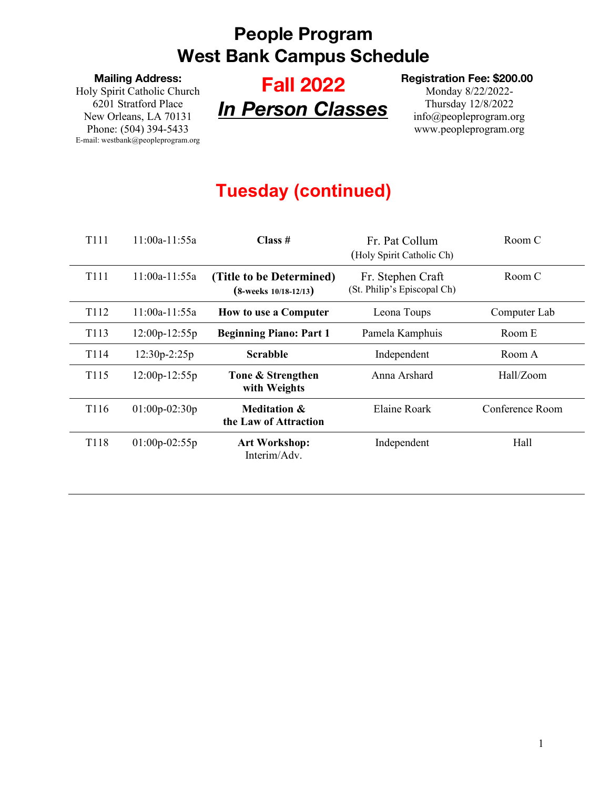**Mailing Address:**

Holy Spirit Catholic Church 6201 Stratford Place New Orleans, LA 70131 Phone: (504) 394-5433 E-mail: westbank@peopleprogram.org

# **Fall 2022** *In Person Classes*

#### **Registration Fee: \$200.00**

Monday 8/22/2022- Thursday 12/8/2022 info@peopleprogram.org www.peopleprogram.org

## **Tuesday (continued)**

| T111             | $11:00a-11:55a$ | Class~#                                                  | Fr. Pat Collum<br>(Holy Spirit Catholic Ch)      | Room C          |
|------------------|-----------------|----------------------------------------------------------|--------------------------------------------------|-----------------|
| T <sub>111</sub> | $11:00a-11:55a$ | (Title to be Determined)<br>$(8$ -weeks $10/18 - 12/13)$ | Fr. Stephen Craft<br>(St. Philip's Episcopal Ch) | Room C          |
| T112             | $11:00a-11:55a$ | <b>How to use a Computer</b>                             | Leona Toups                                      | Computer Lab    |
| T <sub>113</sub> | $12:00p-12:55p$ | <b>Beginning Piano: Part 1</b>                           | Pamela Kamphuis                                  | Room E          |
| T114             | $12:30p-2:25p$  | <b>Scrabble</b>                                          | Independent                                      | Room A          |
| T <sub>115</sub> | $12:00p-12:55p$ | Tone & Strengthen<br>with Weights                        | Anna Arshard                                     | Hall/Zoom       |
| T116             | $01:00p-02:30p$ | <b>Meditation &amp;</b><br>the Law of Attraction         | Elaine Roark                                     | Conference Room |
| T118             | $01:00p-02:55p$ | <b>Art Workshop:</b><br>Interim/Adv                      | Independent                                      | Hall            |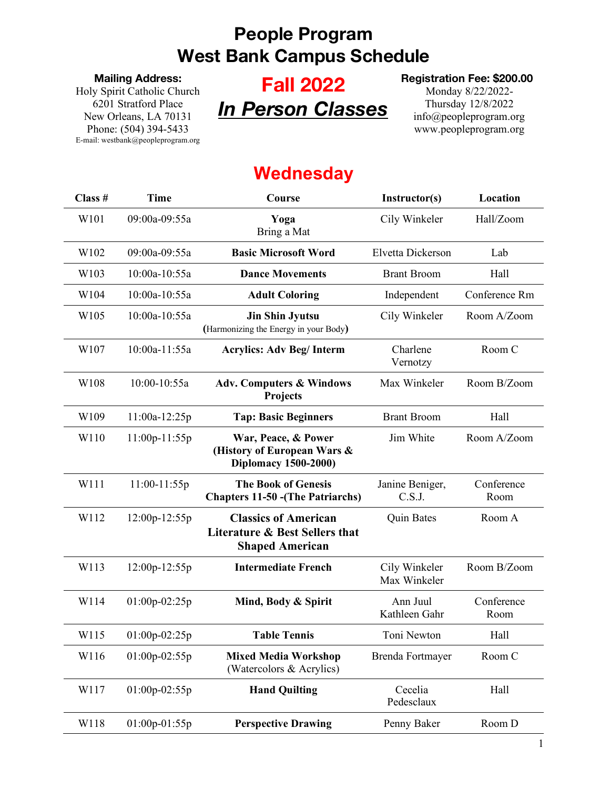#### **Mailing Address:**

Holy Spirit Catholic Church 6201 Stratford Place New Orleans, LA 70131 Phone: (504) 394-5433 E-mail: westbank@peopleprogram.org

# **Fall 2022** *In Person Classes*

#### **Registration Fee: \$200.00**

Monday 8/22/2022- Thursday 12/8/2022 info@peopleprogram.org www.peopleprogram.org

### **Wednesday**

| Class # | <b>Time</b>     | Course                                                                                  | Instructor(s)                 | Location           |
|---------|-----------------|-----------------------------------------------------------------------------------------|-------------------------------|--------------------|
| W101    | 09:00a-09:55a   | Yoga<br>Bring a Mat                                                                     | Cily Winkeler                 | Hall/Zoom          |
| W102    | 09:00a-09:55a   | <b>Basic Microsoft Word</b>                                                             | Elvetta Dickerson             | Lab                |
| W103    | 10:00a-10:55a   | <b>Dance Movements</b>                                                                  | <b>Brant Broom</b>            | Hall               |
| W104    | 10:00a-10:55a   | <b>Adult Coloring</b>                                                                   | Independent                   | Conference Rm      |
| W105    | 10:00a-10:55a   | <b>Jin Shin Jyutsu</b><br>(Harmonizing the Energy in your Body)                         | Cily Winkeler                 | Room A/Zoom        |
| W107    | 10:00a-11:55a   | <b>Acrylics: Adv Beg/Interm</b>                                                         | Charlene<br>Vernotzy          | Room C             |
| W108    | 10:00-10:55a    | <b>Adv. Computers &amp; Windows</b><br>Projects                                         | Max Winkeler                  | Room B/Zoom        |
| W109    | $11:00a-12:25p$ | <b>Tap: Basic Beginners</b>                                                             | <b>Brant Broom</b>            | Hall               |
| W110    | 11:00p-11:55p   | War, Peace, & Power<br>(History of European Wars &<br><b>Diplomacy 1500-2000)</b>       | Jim White                     | Room A/Zoom        |
| W111    | 11:00-11:55p    | <b>The Book of Genesis</b><br><b>Chapters 11-50 - (The Patriarchs)</b>                  | Janine Beniger,<br>C.S.J.     | Conference<br>Room |
| W112    | 12:00p-12:55p   | <b>Classics of American</b><br>Literature & Best Sellers that<br><b>Shaped American</b> | <b>Quin Bates</b>             | Room A             |
| W113    | 12:00p-12:55p   | <b>Intermediate French</b>                                                              | Cily Winkeler<br>Max Winkeler | Room B/Zoom        |
| W114    | $01:00p-02:25p$ | Mind, Body & Spirit                                                                     | Ann Juul<br>Kathleen Gahr     | Conference<br>Room |
| W115    | 01:00p-02:25p   | <b>Table Tennis</b>                                                                     | Toni Newton                   | Hall               |
| W116    | $01:00p-02:55p$ | <b>Mixed Media Workshop</b><br>(Watercolors & Acrylics)                                 | Brenda Fortmayer              | Room C             |
| W117    | 01:00p-02:55p   | <b>Hand Quilting</b>                                                                    | Cecelia<br>Pedesclaux         | Hall               |
| W118    | $01:00p-01:55p$ | <b>Perspective Drawing</b>                                                              | Penny Baker                   | Room D             |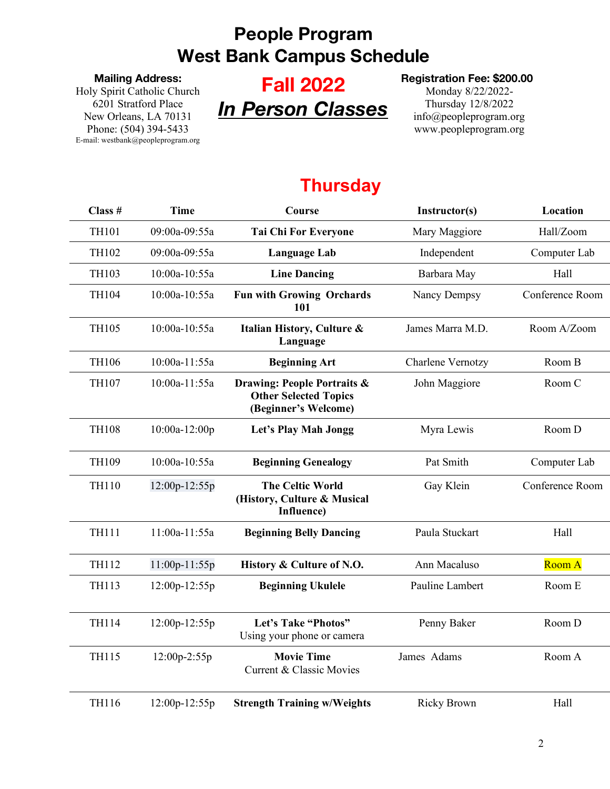#### **Mailing Address:**

Holy Spirit Catholic Church 6201 Stratford Place New Orleans, LA 70131 Phone: (504) 394-5433 E-mail: westbank@peopleprogram.org

# **Fall 2022** *In Person Classes*

#### **Registration Fee: \$200.00**

Monday 8/22/2022- Thursday 12/8/2022 info@peopleprogram.org www.peopleprogram.org

### **Thursday**

| Class #      | <b>Time</b>     | Course                                                                              | Instructor(s)      | Location        |
|--------------|-----------------|-------------------------------------------------------------------------------------|--------------------|-----------------|
| <b>TH101</b> | 09:00a-09:55a   | <b>Tai Chi For Everyone</b>                                                         | Mary Maggiore      | Hall/Zoom       |
| TH102        | 09:00a-09:55a   | <b>Language Lab</b>                                                                 | Independent        | Computer Lab    |
| TH103        | 10:00a-10:55a   | <b>Line Dancing</b>                                                                 | Barbara May        | Hall            |
| TH104        | 10:00a-10:55a   | <b>Fun with Growing Orchards</b><br>101                                             | Nancy Dempsy       | Conference Room |
| <b>TH105</b> | 10:00a-10:55a   | Italian History, Culture &<br>Language                                              | James Marra M.D.   | Room A/Zoom     |
| <b>TH106</b> | 10:00a-11:55a   | <b>Beginning Art</b>                                                                | Charlene Vernotzy  | Room B          |
| <b>TH107</b> | 10:00a-11:55a   | Drawing: People Portraits &<br><b>Other Selected Topics</b><br>(Beginner's Welcome) | John Maggiore      | Room C          |
| <b>TH108</b> | 10:00a-12:00p   | Let's Play Mah Jongg                                                                | Myra Lewis         | Room D          |
| TH109        | 10:00a-10:55a   | <b>Beginning Genealogy</b>                                                          | Pat Smith          | Computer Lab    |
| <b>TH110</b> | 12:00p-12:55p   | <b>The Celtic World</b><br>(History, Culture & Musical<br>Influence)                | Gay Klein          | Conference Room |
| <b>TH111</b> | 11:00a-11:55a   | <b>Beginning Belly Dancing</b>                                                      | Paula Stuckart     | Hall            |
| <b>TH112</b> | $11:00p-11:55p$ | History & Culture of N.O.                                                           | Ann Macaluso       | <b>Room A</b>   |
| <b>TH113</b> | 12:00p-12:55p   | <b>Beginning Ukulele</b>                                                            | Pauline Lambert    | Room E          |
| <b>TH114</b> | 12:00p-12:55p   | Let's Take "Photos"<br>Using your phone or camera                                   | Penny Baker        | Room D          |
| <b>TH115</b> | 12:00p-2:55p    | <b>Movie Time</b><br><b>Current &amp; Classic Movies</b>                            | James Adams        | Room A          |
| TH116        | 12:00p-12:55p   | <b>Strength Training w/Weights</b>                                                  | <b>Ricky Brown</b> | Hall            |